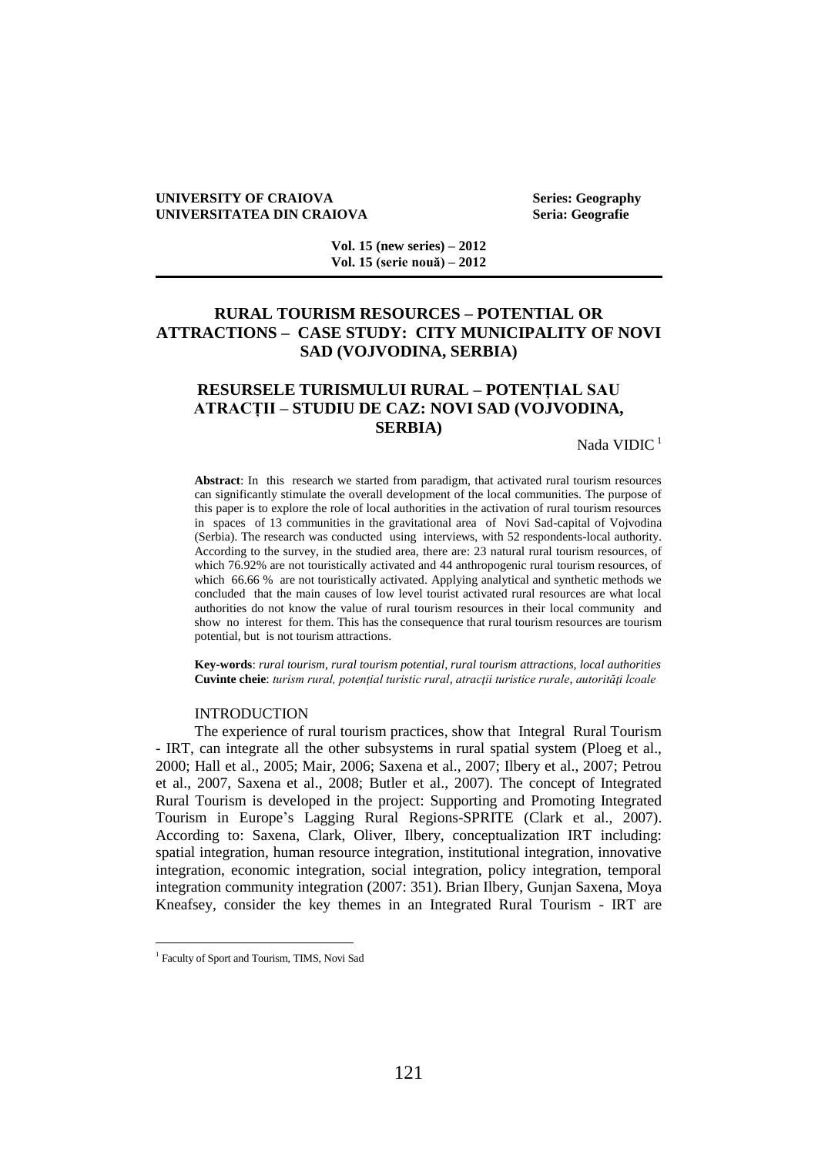#### **UNIVERSITY OF CRAIOVA Series: Geography UNIVERSITATEA DIN CRAIOVA Seria: Geografie**

**Vol. 15 (new series) – 2012 Vol. 15 (serie nouă) – 2012**

# **RURAL TOURISM RESOURCES – POTENTIAL OR ATTRACTIONS – CASE STUDY: CITY MUNICIPALITY OF NOVI SAD (VOJVODINA, SERBIA)**

# **RESURSELE TURISMULUI RURAL – POTENȚIAL SAU ATRACȚII – STUDIU DE CAZ: NOVI SAD (VOJVODINA, SERBIA)**

Nada VIDIC $^1$ 

**Abstract**: In this research we started from paradigm, that activated rural tourism resources can significantly stimulate the overall development of the local communities. The purpose of this paper is to explore the role of local authorities in the activation of rural tourism resources in spaces of 13 communities in the gravitational area of Novi Sad-capital of Vojvodina (Serbia). The research was conducted using interviews, with 52 respondents-local authority. According to the survey, in the studied area, there are: 23 natural rural tourism resources, of which 76.92% are not touristically activated and 44 anthropogenic rural tourism resources, of which 66.66 % are not touristically activated. Applying analytical and synthetic methods we concluded that the main causes of low level tourist activated rural resources are what local authorities do not know the value of rural tourism resources in their local community and show no interest for them. This has the consequence that rural tourism resources are tourism potential, but is not tourism attractions.

**Key-words**: *rural tourism, rural tourism potential, rural tourism attractions, local authorities*  **Cuvinte cheie**: *turism rural, potenţial turistic rural, atracţii turistice rurale, autorităţi lcoale* 

## INTRODUCTION

The experience of rural tourism practices, show that Integral Rural Tourism - IRT, can integrate all the other subsystems in rural spatial system (Ploeg et al., 2000; Hall et al., 2005; Mair, 2006; Saxena et al., 2007; Ilbery et al., 2007; Petrou et al., 2007, Saxena et al., 2008; Butler et al., 2007). The concept of Integrated Rural Tourism is developed in the project: Supporting and Promoting Integrated Tourism in Europe's Lagging Rural Regions-SPRITE (Clark et al., 2007). According to: Saxena, Clark, Oliver, Ilbery, conceptualization IRT including: spatial integration, human resource integration, institutional integration, innovative integration, economic integration, social integration, policy integration, temporal integration community integration (2007: 351). Brian Ilbery, Gunjan Saxena, Moya Kneafsey, consider the key themes in an Integrated Rural Tourism - IRT are

 $\overline{a}$ 

<sup>&</sup>lt;sup>1</sup> Faculty of Sport and Tourism, TIMS, Novi Sad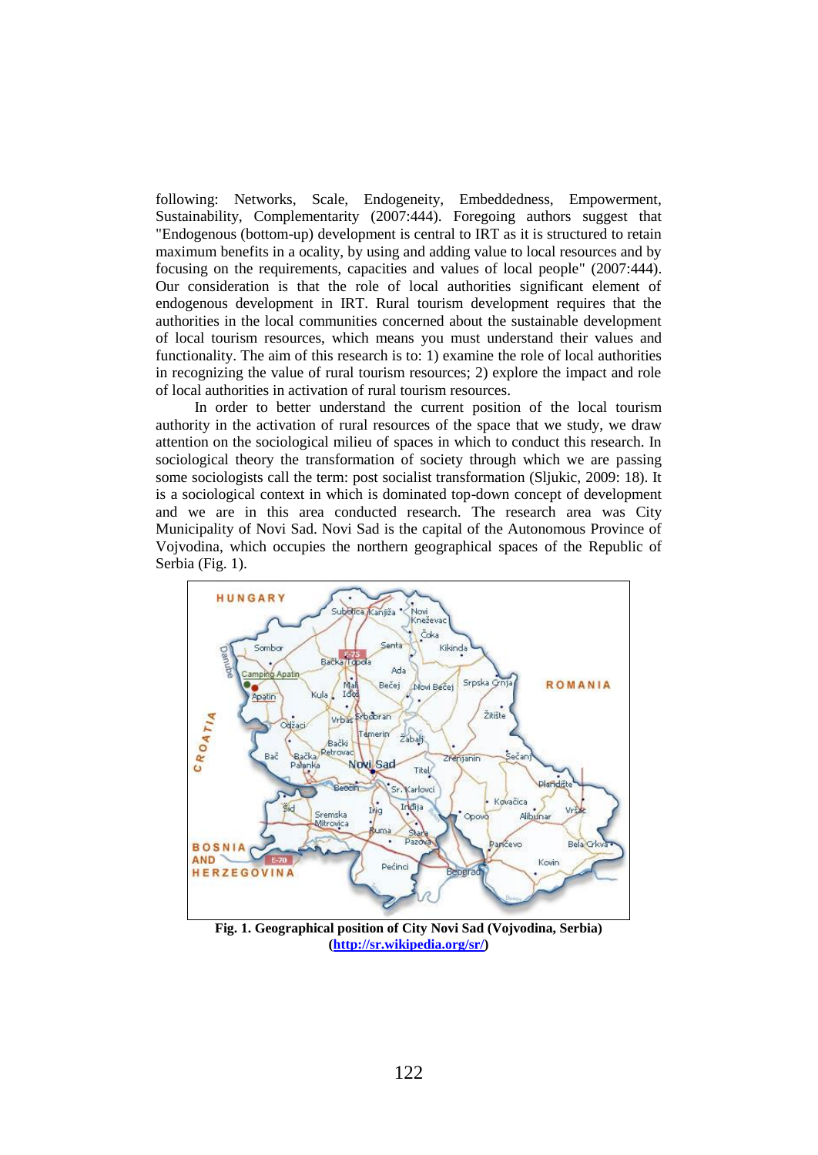following: Networks, Scale, Endogeneity, Embeddedness, Empowerment, Sustainability, Complementarity (2007:444). Foregoing authors suggest that "Endogenous (bottom-up) development is central to IRT as it is structured to retain maximum benefits in a ocality, by using and adding value to local resources and by focusing on the requirements, capacities and values of local people" (2007:444). Our consideration is that the role of local authorities significant element of endogenous development in IRT. Rural tourism development requires that the authorities in the local communities concerned about the sustainable development of local tourism resources, which means you must understand their values and functionality. The aim of this research is to: 1) examine the role of local authorities in recognizing the value of rural tourism resources; 2) explore the impact and role of local authorities in activation of rural tourism resources.

In order to better understand the current position of the local tourism authority in the activation of rural resources of the space that we study, we draw attention on the sociological milieu of spaces in which to conduct this research. In sociological theory the transformation of society through which we are passing some sociologists call the term: post socialist transformation (Sljukic, 2009: 18). It is a sociological context in which is dominated top-down concept of development and we are in this area conducted research. The research area was City Municipality of Novi Sad. Novi Sad is the capital of the Autonomous Province of Vojvodina, which occupies the northern geographical spaces of the Republic of Serbia (Fig. 1).



**Fig. 1. Geographical position of City Novi Sad (Vojvodina, Serbia) [\(http://sr.wikipedia.org/sr/\)](http://sr.wikipedia.org/sr/)**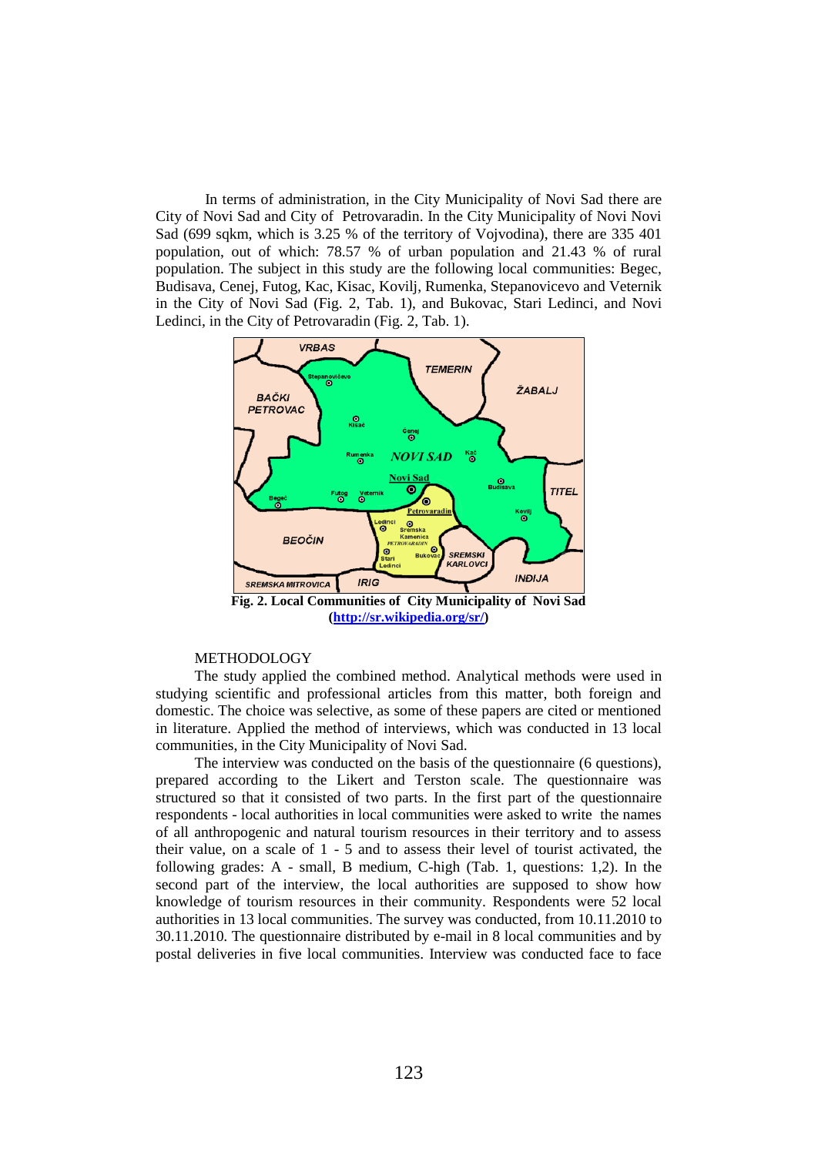In terms of administration, in the City Municipality of Novi Sad there are City of Novi Sad and City of Petrovaradin. In the City Municipality of Novi Novi Sad (699 sqkm, which is 3.25 % of the territory of Vojvodina), there are 335 401 population, out of which: 78.57 % of urban population and 21.43 % of rural population. The subject in this study are the following local communities: Begec, Budisava, Cenej, Futog, Kac, Kisac, Kovilj, Rumenka, Stepanovicevo and Veternik in the City of Novi Sad (Fig. 2, Tab. 1), and Bukovac, Stari Ledinci, and Novi Ledinci, in the City of Petrovaradin (Fig. 2, Tab. 1).



**[\(http://sr.wikipedia.org/sr/\)](http://sr.wikipedia.org/sr/)**

#### METHODOLOGY

The study applied the combined method. Analytical methods were used in studying scientific and professional articles from this matter, both foreign and domestic. The choice was selective, as some of these papers are cited or mentioned in literature. Applied the method of interviews, which was conducted in 13 local communities, in the City Municipality of Novi Sad.

The interview was conducted on the basis of the questionnaire (6 questions), prepared according to the Likert and Terston scale. The questionnaire was structured so that it consisted of two parts. In the first part of the questionnaire respondents - local authorities in local communities were asked to write the names of all anthropogenic and natural tourism resources in their territory and to assess their value, on a scale of 1 - 5 and to assess their level of tourist activated, the following grades: A - small, B medium, C-high (Tab. 1, questions: 1,2). In the second part of the interview, the local authorities are supposed to show how knowledge of tourism resources in their community. Respondents were 52 local authorities in 13 local communities. The survey was conducted, from 10.11.2010 to 30.11.2010. The questionnaire distributed by e-mail in 8 local communities and by postal deliveries in five local communities. Interview was conducted face to face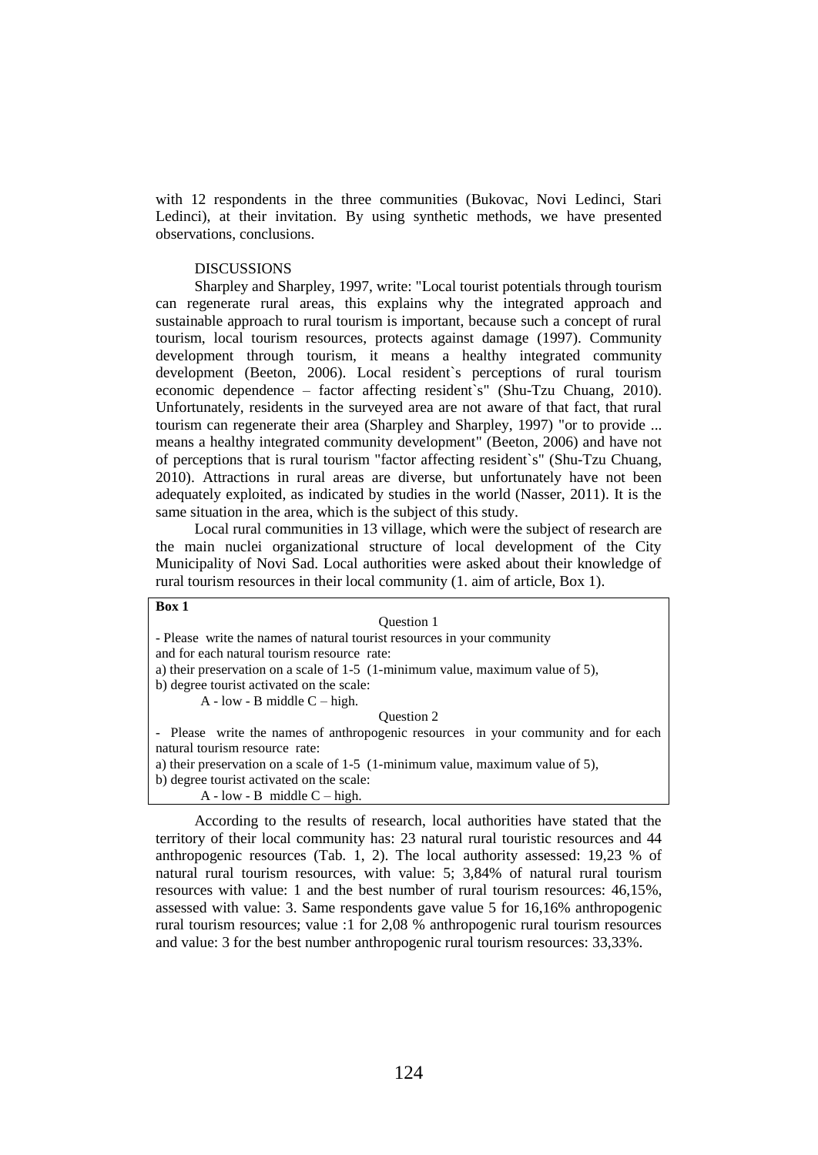with 12 respondents in the three communities (Bukovac, Novi Ledinci, Stari Ledinci), at their invitation. By using synthetic methods, we have presented observations, conclusions.

## DISCUSSIONS

Sharpley and Sharpley, 1997, write: "Local tourist potentials through tourism can regenerate rural areas, this explains why the integrated approach and sustainable approach to rural tourism is important, because such a concept of rural tourism, local tourism resources, protects against damage (1997). Community development through tourism, it means a healthy integrated community development (Beeton, 2006). Local resident`s perceptions of rural tourism economic dependence – factor affecting resident`s" (Shu-Tzu Chuang, 2010). Unfortunately, residents in the surveyed area are not aware of that fact, that rural tourism can regenerate their area (Sharpley and Sharpley, 1997) "or to provide ... means a healthy integrated community development" (Beeton, 2006) and have not of perceptions that is rural tourism "factor affecting resident`s" (Shu-Tzu Chuang, 2010). Attractions in rural areas are diverse, but unfortunately have not been adequately exploited, as indicated by studies in the world (Nasser, 2011). It is the same situation in the area, which is the subject of this study.

Local rural communities in 13 village, which were the subject of research are the main nuclei organizational structure of local development of the City Municipality of Novi Sad. Local authorities were asked about their knowledge of rural tourism resources in their local community (1. aim of article, Box 1).

# **Box 1**

| <b>Ouestion 1</b>                                                                  |
|------------------------------------------------------------------------------------|
| - Please write the names of natural tourist resources in your community            |
| and for each natural tourism resource rate:                                        |
| a) their preservation on a scale of $1-5$ (1-minimum value, maximum value of 5),   |
| b) degree tourist activated on the scale:                                          |
| $A - low - B$ middle $C - high$ .                                                  |
| Ouestion 2                                                                         |
| - Please write the names of anthropogenic resources in your community and for each |
| natural tourism resource rate:                                                     |
| a) their preservation on a scale of $1-5$ (1-minimum value, maximum value of 5),   |
| b) degree tourist activated on the scale:                                          |
| $A - low - B$ middle $C - high$ .                                                  |

According to the results of research, local authorities have stated that the territory of their local community has: 23 natural rural touristic resources and 44 anthropogenic resources (Tab. 1, 2). The local authority assessed: 19,23 % of natural rural tourism resources, with value: 5; 3,84% of natural rural tourism resources with value: 1 and the best number of rural tourism resources: 46,15%, assessed with value: 3. Same respondents gave value 5 for 16,16% anthropogenic rural tourism resources; value :1 for 2,08 % anthropogenic rural tourism resources and value: 3 for the best number anthropogenic rural tourism resources: 33,33%.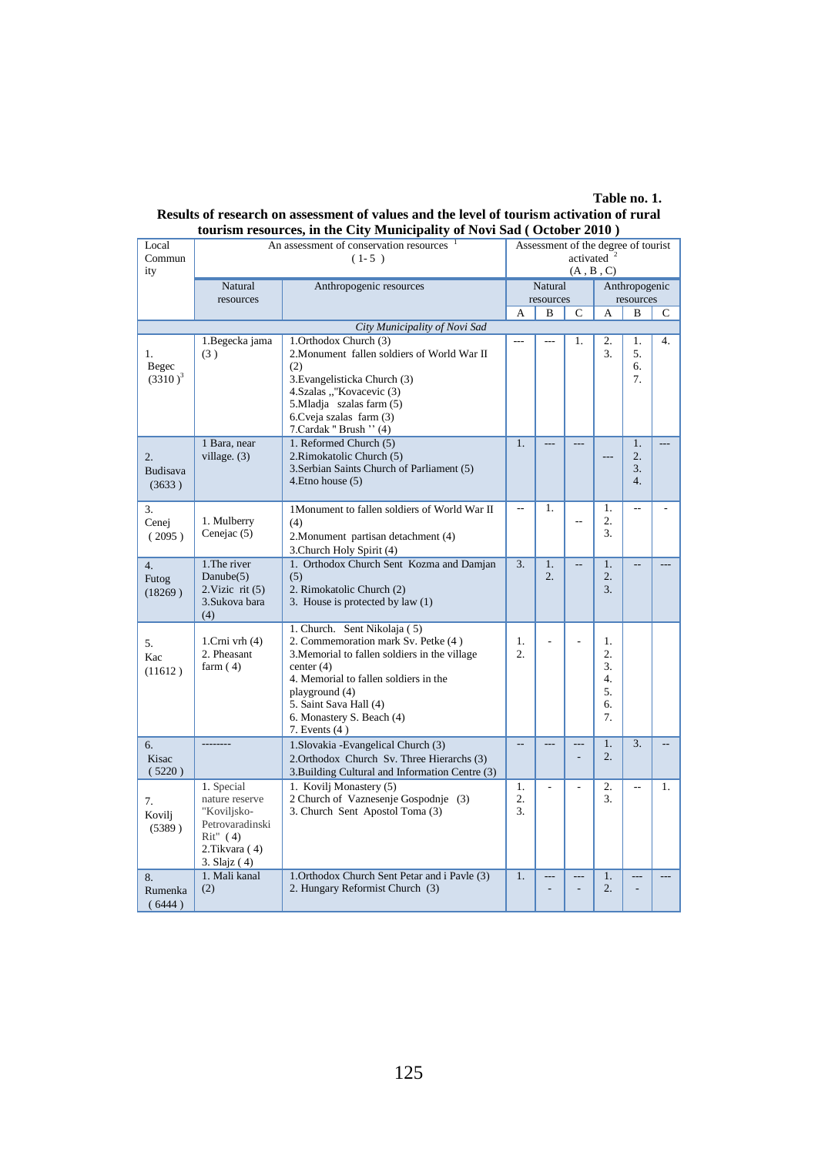**Table no. 1.**

| tourism resources, in the City Municipality of Novi Sad (October 2010) |                                                      |                                                           |                          |                        |                |                        |                  |    |  |  |
|------------------------------------------------------------------------|------------------------------------------------------|-----------------------------------------------------------|--------------------------|------------------------|----------------|------------------------|------------------|----|--|--|
| Local                                                                  | An assessment of conservation resources <sup>1</sup> | Assessment of the degree of tourist                       |                          |                        |                |                        |                  |    |  |  |
| Commun                                                                 |                                                      | $(1-5)$                                                   |                          | activated $2$          |                |                        |                  |    |  |  |
| ity                                                                    |                                                      |                                                           | $(A, B, C)$              |                        |                |                        |                  |    |  |  |
|                                                                        | Natural                                              | Anthropogenic resources                                   | Natural                  |                        |                | Anthropogenic          |                  |    |  |  |
|                                                                        | resources                                            |                                                           | resources                |                        |                |                        | resources        |    |  |  |
|                                                                        |                                                      |                                                           | A                        | B                      | C              | А                      | B                | C  |  |  |
|                                                                        | City Municipality of Novi Sad                        |                                                           |                          |                        |                |                        |                  |    |  |  |
|                                                                        | 1. Begecka jama                                      | 1. Orthodox Church (3)                                    | $\overline{a}$           | $\overline{a}$         | 1.             | 2.                     | 1.               | 4. |  |  |
| 1.                                                                     | (3)                                                  | 2. Monument fallen soldiers of World War II               |                          |                        |                | 3.                     | 5.               |    |  |  |
| Begec<br>$(3310)^3$                                                    |                                                      | (2)                                                       |                          |                        |                |                        | 6.<br>7.         |    |  |  |
|                                                                        |                                                      | 3. Evangelisticka Church (3)<br>4. Szalas ""Kovacevic (3) |                          |                        |                |                        |                  |    |  |  |
|                                                                        |                                                      | 5. Mladja szalas farm (5)                                 |                          |                        |                |                        |                  |    |  |  |
|                                                                        |                                                      | 6. Cveja szalas farm (3)                                  |                          |                        |                |                        |                  |    |  |  |
|                                                                        |                                                      | 7. Cardak " Brush " (4)                                   |                          |                        |                |                        |                  |    |  |  |
|                                                                        | 1 Bara, near                                         | 1. Reformed Church (5)                                    | 1.                       |                        |                |                        | 1.               |    |  |  |
| 2.                                                                     | village. $(3)$                                       | 2. Rimokatolic Church (5)                                 |                          |                        |                |                        | $\overline{2}$ . |    |  |  |
| <b>Budisava</b>                                                        |                                                      | 3. Serbian Saints Church of Parliament (5)                |                          |                        |                |                        | 3.               |    |  |  |
| (3633)                                                                 |                                                      | 4. Etno house (5)                                         |                          |                        |                |                        | 4.               |    |  |  |
|                                                                        |                                                      |                                                           |                          |                        |                |                        |                  |    |  |  |
| 3.                                                                     | 1. Mulberry                                          | 1Monument to fallen soldiers of World War II              | $\overline{\phantom{a}}$ | 1.                     |                | 1.<br>2.               | $\overline{a}$   |    |  |  |
| Cenej                                                                  | Cenejac $(5)$                                        | (4)                                                       |                          |                        |                | 3.                     |                  |    |  |  |
| (2095)                                                                 |                                                      | 2. Monument partisan detachment (4)                       |                          |                        |                |                        |                  |    |  |  |
|                                                                        |                                                      | 3. Church Holy Spirit (4)                                 |                          |                        |                |                        |                  |    |  |  |
| 4.                                                                     | 1. The river<br>Danube(5)                            | 1. Orthodox Church Sent Kozma and Damjan<br>(5)           | $\overline{3}$ .         | 1.<br>$\overline{2}$ . | $\overline{a}$ | 1.<br>$\overline{2}$ . | $\overline{a}$   |    |  |  |
| Futog                                                                  | $2.Vizic$ rit $(5)$                                  | 2. Rimokatolic Church (2)                                 |                          |                        |                | 3.                     |                  |    |  |  |
| (18269)                                                                | 3.Sukova bara                                        | 3. House is protected by law (1)                          |                          |                        |                |                        |                  |    |  |  |
|                                                                        | (4)                                                  |                                                           |                          |                        |                |                        |                  |    |  |  |
|                                                                        |                                                      | 1. Church. Sent Nikolaja (5)                              |                          |                        |                |                        |                  |    |  |  |
| 5.                                                                     | 1. $Crni$ vrh $(4)$                                  | 2. Commemoration mark Sv. Petke (4)                       | 1.                       | Ĭ.                     |                | 1.                     |                  |    |  |  |
| Kac                                                                    | 2. Pheasant                                          | 3. Memorial to fallen soldiers in the village             | $\overline{2}$ .         |                        |                | $\overline{2}$ .       |                  |    |  |  |
| (11612)                                                                | farm $(4)$                                           | center $(4)$                                              |                          |                        |                | 3.                     |                  |    |  |  |
|                                                                        |                                                      | 4. Memorial to fallen soldiers in the<br>playground (4)   |                          |                        |                | 4.<br>5.               |                  |    |  |  |
|                                                                        |                                                      | 5. Saint Sava Hall (4)                                    |                          |                        |                | 6.                     |                  |    |  |  |
|                                                                        |                                                      | 6. Monastery S. Beach (4)                                 |                          |                        |                | 7.                     |                  |    |  |  |
|                                                                        |                                                      | 7. Events $(4)$                                           |                          |                        |                |                        |                  |    |  |  |
| 6.                                                                     |                                                      | 1. Slovakia - Evangelical Church (3)                      | $\sim$                   | $\sim$                 | $\overline{a}$ | 1.                     | 3.               |    |  |  |
| Kisac                                                                  |                                                      | 2. Orthodox Church Sv. Three Hierarchs (3)                |                          |                        | $\overline{a}$ | $\overline{2}$ .       |                  |    |  |  |
| (5220)                                                                 |                                                      | 3. Building Cultural and Information Centre (3)           |                          |                        |                |                        |                  |    |  |  |
|                                                                        | 1. Special                                           | 1. Kovilj Monastery (5)                                   | 1.                       |                        |                | $\overline{2}$ .       | $\overline{a}$   | 1. |  |  |
| 7.                                                                     | nature reserve                                       | 2 Church of Vaznesenje Gospodnje (3)                      | $\overline{2}$ .         |                        |                | 3.                     |                  |    |  |  |
| Kovilj                                                                 | "Koviljsko-                                          | 3. Church Sent Apostol Toma (3)                           | 3.                       |                        |                |                        |                  |    |  |  |
| (5389)                                                                 | Petrovaradinski                                      |                                                           |                          |                        |                |                        |                  |    |  |  |
|                                                                        | $Rit''$ (4)                                          |                                                           |                          |                        |                |                        |                  |    |  |  |
|                                                                        | 2. Tikvara (4)                                       |                                                           |                          |                        |                |                        |                  |    |  |  |
| 8.                                                                     | 3. Slajz(4)<br>1. Mali kanal                         | 1. Orthodox Church Sent Petar and i Pavle (3)             | 1.                       |                        |                | 1.                     |                  |    |  |  |
| Rumenka                                                                | (2)                                                  | 2. Hungary Reformist Church (3)                           |                          |                        |                | $\overline{2}$ .       |                  |    |  |  |
| (6444)                                                                 |                                                      |                                                           |                          |                        |                |                        |                  |    |  |  |
|                                                                        |                                                      |                                                           |                          |                        |                |                        |                  |    |  |  |

# **Results of research on assessment of values and the level of tourism activation of rural**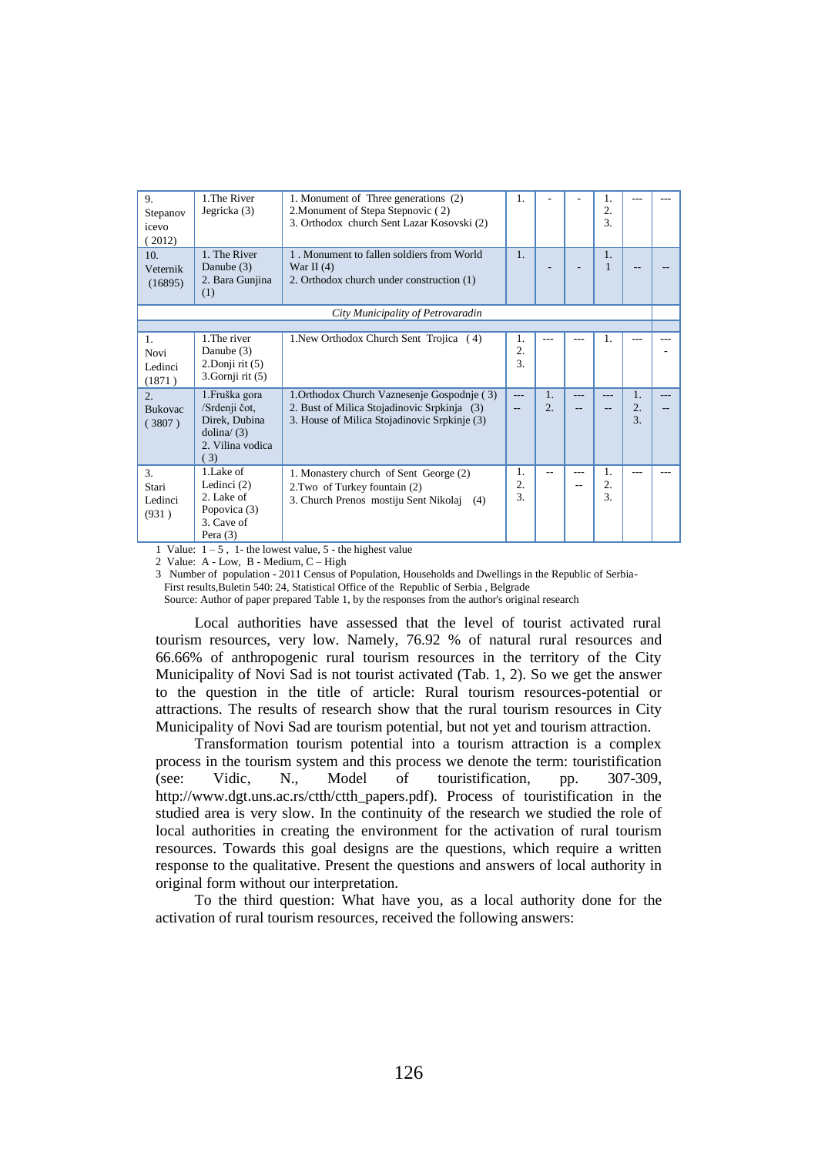| 9.<br>Stepanov<br>icevo<br>(2012)          | 1. The River<br>Jegricka (3)                                                                       | 1. Monument of Three generations (2)<br>2. Monument of Stepa Stepnovic (2)<br>3. Orthodox church Sent Lazar Kosovski (2)                   | 1.                        |                        |  | 1.<br>2.<br>3.            |                              |  |
|--------------------------------------------|----------------------------------------------------------------------------------------------------|--------------------------------------------------------------------------------------------------------------------------------------------|---------------------------|------------------------|--|---------------------------|------------------------------|--|
| 10.<br>Veternik<br>(16895)                 | 1. The River<br>Danube $(3)$<br>2. Bara Gunjina<br>(1)                                             | 1. Monument to fallen soldiers from World<br>War II $(4)$<br>2. Orthodox church under construction (1)                                     | 1.                        |                        |  | 1.<br>1                   |                              |  |
| City Municipality of Petrovaradin          |                                                                                                    |                                                                                                                                            |                           |                        |  |                           |                              |  |
|                                            |                                                                                                    |                                                                                                                                            |                           |                        |  |                           |                              |  |
| $\mathbf{1}$<br>Novi<br>Ledinci<br>(1871)  | 1. The river<br>Danube (3)<br>$2$ . Donji rit $(5)$<br>$3.$ Gornji rit $(5)$                       | 1. New Orthodox Church Sent Trojica (4)                                                                                                    | 1.<br>2.<br>3.            |                        |  | $\mathbf{1}$ .            |                              |  |
| 2 <sup>0</sup><br><b>Bukovac</b><br>(3807) | 1. Fruška gora<br>/Srdenji čot,<br>Direk, Dubina<br>$\text{dolina}/(3)$<br>2. Vilina vodica<br>(3) | 1. Orthodox Church Vaznesenje Gospodnje (3)<br>2. Bust of Milica Stojadinovic Srpkinja (3)<br>3. House of Milica Stojadinovic Srpkinje (3) | ---                       | 1.<br>$\overline{2}$ . |  |                           | 1.<br>$\overline{2}$ .<br>3. |  |
| $\mathcal{R}$<br>Stari<br>Ledinci<br>(931) | 1.Lake of<br>Ledinci $(2)$<br>2. Lake of<br>Popovica (3)<br>3. Cave of<br>Pera $(3)$               | 1. Monastery church of Sent George (2)<br>2. Two of Turkey fountain (2)<br>3. Church Prenos mostiju Sent Nikolaj (4)                       | 1.<br>2.<br>$\mathcal{R}$ |                        |  | 1.<br>2.<br>$\mathcal{R}$ |                              |  |

1 Value:  $1 - 5$ , 1- the lowest value, 5 - the highest value

2 Value: A - Low, B - Medium, C – High

3 Number of population - 2011 Census of Population, Households and Dwellings in the Republic of Serbia-

First results,Buletin 540: 24, Statistical Office of the Republic of Serbia , Belgrade

Source: Author of paper prepared Table 1, by the responses from the author's original research

Local authorities have assessed that the level of tourist activated rural tourism resources, very low. Namely, 76.92 % of natural rural resources and 66.66% of anthropogenic rural tourism resources in the territory of the City Municipality of Novi Sad is not tourist activated (Tab. 1, 2). So we get the answer to the question in the title of article: Rural tourism resources-potential or attractions. The results of research show that the rural tourism resources in City Municipality of Novi Sad are tourism potential, but not yet and tourism attraction.

Transformation tourism potential into a tourism attraction is a complex process in the tourism system and this process we denote the term: touristification (see: Vidic, N., Model of touristification, pp. 307-309, http://www.dgt.uns.ac.rs/ctth/ctth\_papers.pdf). Process of touristification in the studied area is very slow. In the continuity of the research we studied the role of local authorities in creating the environment for the activation of rural tourism resources. Towards this goal designs are the questions, which require a written response to the qualitative. Present the questions and answers of local authority in original form without our interpretation.

To the third question: What have you, as a local authority done for the activation of rural tourism resources, received the following answers: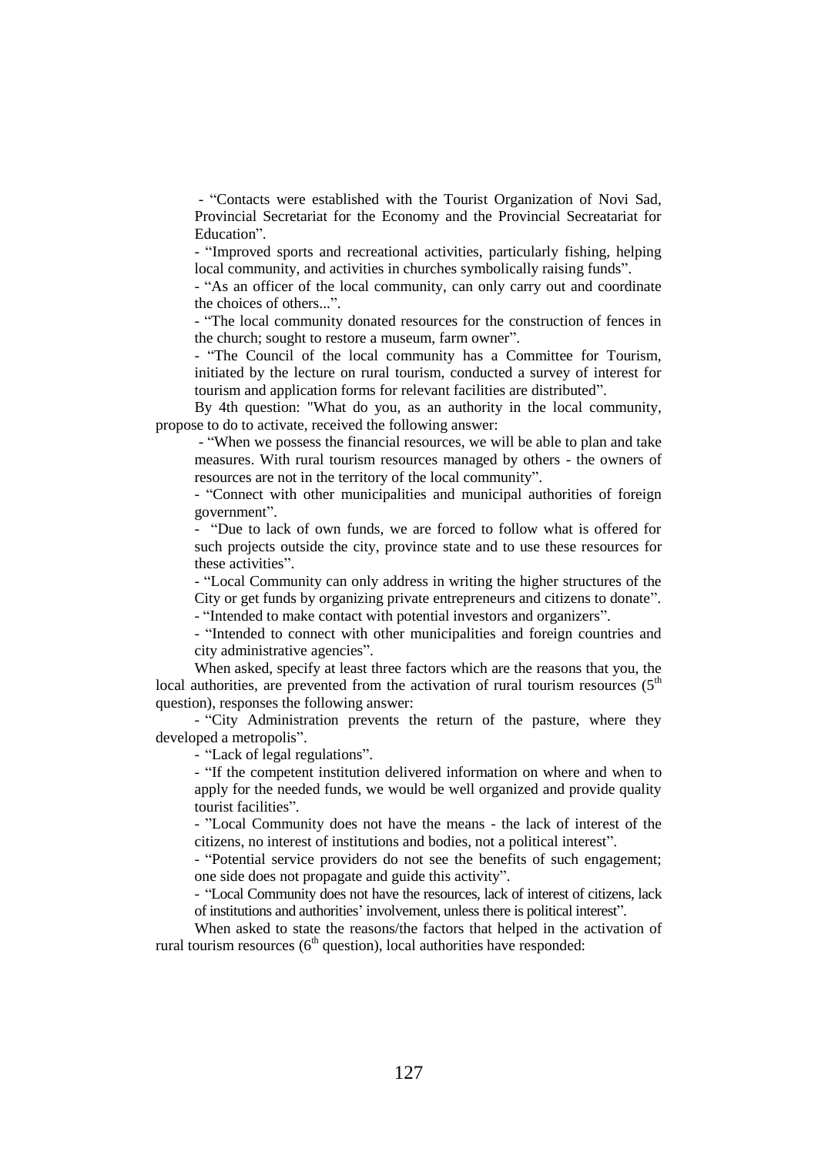- "Contacts were established with the Tourist Organization of Novi Sad, Provincial Secretariat for the Economy and the Provincial Secreatariat for Education".

- "Improved sports and recreational activities, particularly fishing, helping local community, and activities in churches symbolically raising funds".

- "As an officer of the local community, can only carry out and coordinate the choices of others...".

- "The local community donated resources for the construction of fences in the church; sought to restore a museum, farm owner".

- "The Council of the local community has a Committee for Tourism, initiated by the lecture on rural tourism, conducted a survey of interest for tourism and application forms for relevant facilities are distributed".

By 4th question: "What do you, as an authority in the local community, propose to do to activate, received the following answer:

- "When we possess the financial resources, we will be able to plan and take measures. With rural tourism resources managed by others - the owners of resources are not in the territory of the local community".

- "Connect with other municipalities and municipal authorities of foreign government".

- "Due to lack of own funds, we are forced to follow what is offered for such projects outside the city, province state and to use these resources for these activities".

- "Local Community can only address in writing the higher structures of the City or get funds by organizing private entrepreneurs and citizens to donate".

- "Intended to make contact with potential investors and organizers".

- "Intended to connect with other municipalities and foreign countries and city administrative agencies".

When asked, specify at least three factors which are the reasons that you, the local authorities, are prevented from the activation of rural tourism resources  $(5<sup>th</sup>$ question), responses the following answer:

- "City Administration prevents the return of the pasture, where they developed a metropolis".

- "Lack of legal regulations".

- "If the competent institution delivered information on where and when to apply for the needed funds, we would be well organized and provide quality tourist facilities".

- "Local Community does not have the means - the lack of interest of the citizens, no interest of institutions and bodies, not a political interest".

- "Potential service providers do not see the benefits of such engagement; one side does not propagate and guide this activity".

- "Local Community does not have the resources, lack of interest of citizens, lack of institutions and authorities' involvement, unless there is political interest".

When asked to state the reasons/the factors that helped in the activation of rural tourism resources ( $6<sup>th</sup>$  question), local authorities have responded: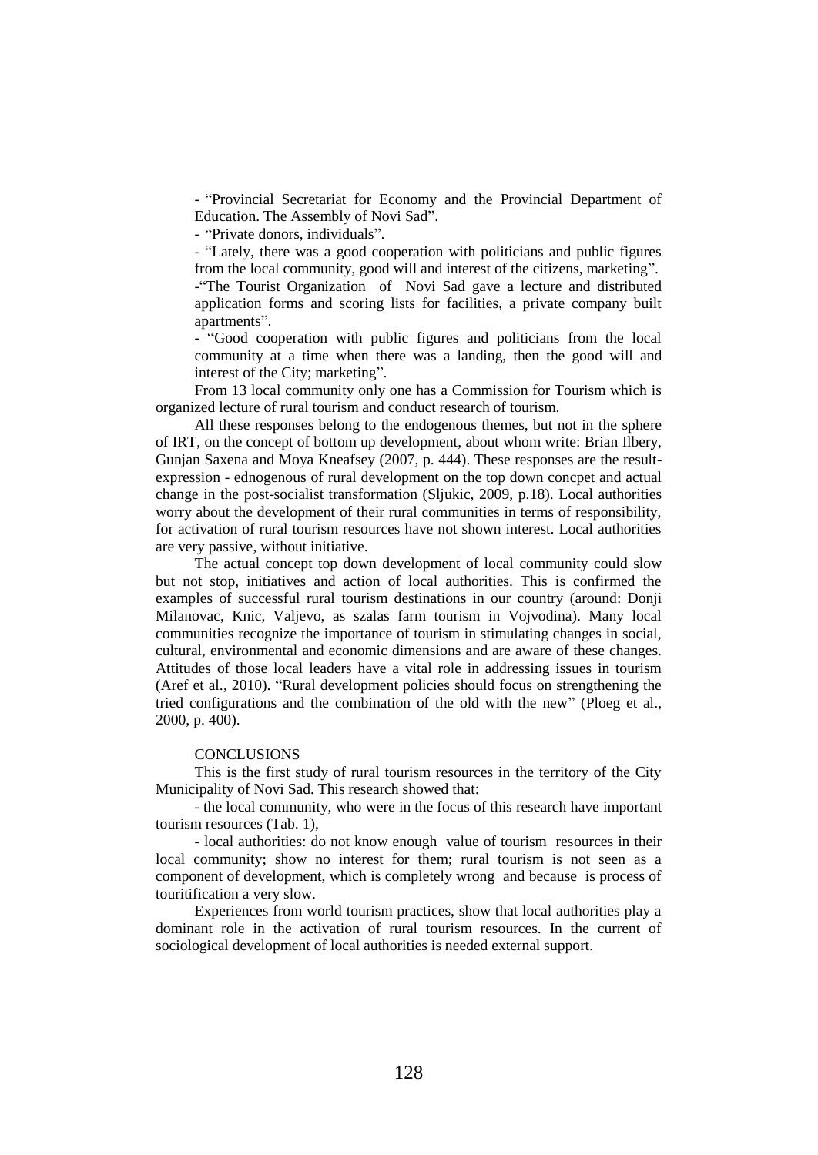- "Provincial Secretariat for Economy and the Provincial Department of Education. The Assembly of Novi Sad".

- "Private donors, individuals".

- "Lately, there was a good cooperation with politicians and public figures from the local community, good will and interest of the citizens, marketing". -"The Tourist Organization of Novi Sad gave a lecture and distributed application forms and scoring lists for facilities, a private company built apartments".

- "Good cooperation with public figures and politicians from the local community at a time when there was a landing, then the good will and interest of the City; marketing".

From 13 local community only one has a Commission for Tourism which is organized lecture of rural tourism and conduct research of tourism.

All these responses belong to the endogenous themes, but not in the sphere of IRT, on the concept of bottom up development, about whom write: Brian Ilbery, Gunjan Saxena and Moya Kneafsey (2007, p. 444). These responses are the resultexpression - ednogenous of rural development on the top down concpet and actual change in the post-socialist transformation (Sljukic, 2009, p.18). Local authorities worry about the development of their rural communities in terms of responsibility, for activation of rural tourism resources have not shown interest. Local authorities are very passive, without initiative.

The actual concept top down development of local community could slow but not stop, initiatives and action of local authorities. This is confirmed the examples of successful rural tourism destinations in our country (around: Donji Milanovac, Knic, Valjevo, as szalas farm tourism in Vojvodina). Many local communities recognize the importance of tourism in stimulating changes in social, cultural, environmental and economic dimensions and are aware of these changes. Attitudes of those local leaders have a vital role in addressing issues in tourism (Aref et al., 2010). "Rural development policies should focus on strengthening the tried configurations and the combination of the old with the new" (Ploeg et al., 2000, p. 400).

### **CONCLUSIONS**

This is the first study of rural tourism resources in the territory of the City Municipality of Novi Sad. This research showed that:

- the local community, who were in the focus of this research have important tourism resources (Tab. 1),

- local authorities: do not know enough value of tourism resources in their local community; show no interest for them; rural tourism is not seen as a component of development, which is completely wrong and because is process of touritification a very slow.

Experiences from world tourism practices, show that local authorities play a dominant role in the activation of rural tourism resources. In the current of sociological development of local authorities is needed external support.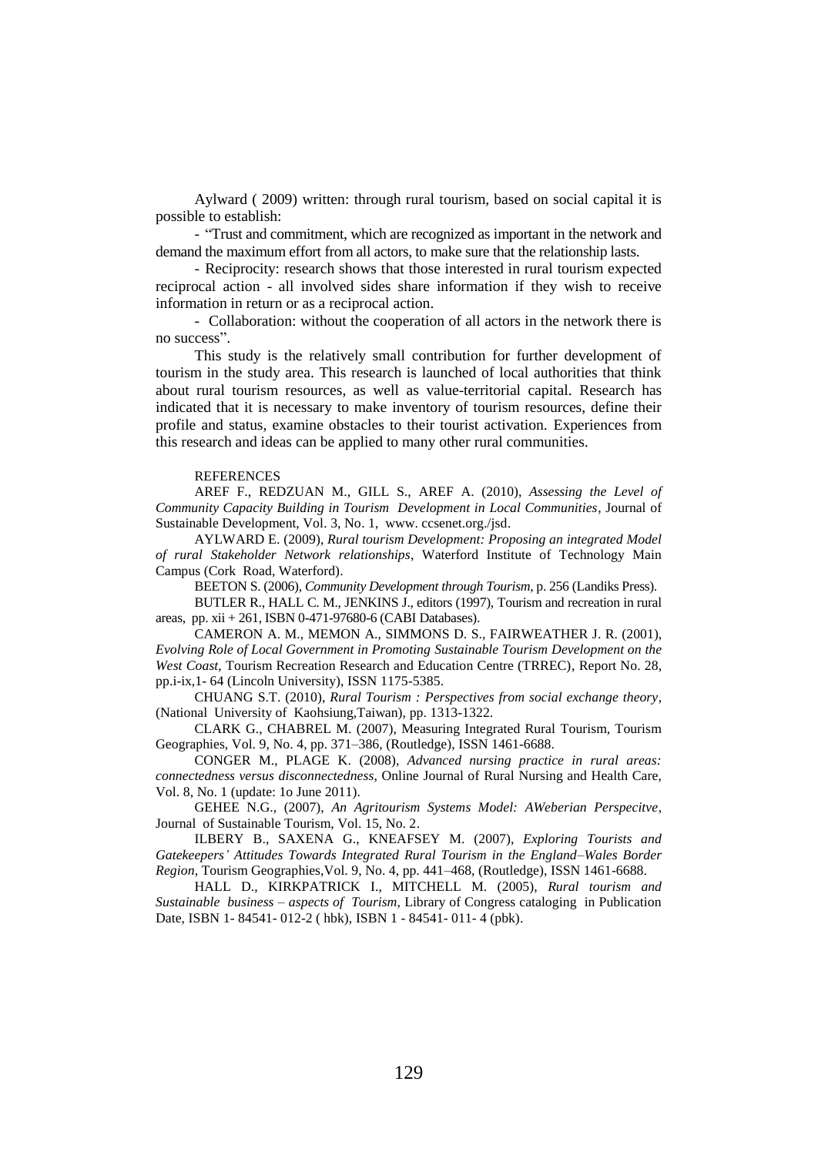Aylward ( 2009) written: through rural tourism, based on social capital it is possible to establish:

- "Trust and commitment, which are recognized as important in the network and demand the maximum effort from all actors, to make sure that the relationship lasts.

- Reciprocity: research shows that those interested in rural tourism expected reciprocal action - all involved sides share information if they wish to receive information in return or as a reciprocal action.

- Collaboration: without the cooperation of all actors in the network there is no success".

This study is the relatively small contribution for further development of tourism in the study area. This research is launched of local authorities that think about rural tourism resources, as well as value-territorial capital. Research has indicated that it is necessary to make inventory of tourism resources, define their profile and status, examine obstacles to their tourist activation. Experiences from this research and ideas can be applied to many other rural communities.

#### **REFERENCES**

AREF F., REDZUAN M., GILL S., AREF A. (2010), *Assessing the Level of Community Capacity Building in Tourism Development in Local Communities*, Journal of Sustainable Development, Vol. 3, No. 1, www. ccsenet.org./jsd.

AYLWARD E. (2009), *Rural tourism Development: Proposing an integrated Model of rural Stakeholder Network relationships*, Waterford Institute of Technology Main Campus (Cork Road, Waterford).

BEETON S. (2006), *Community Development through Tourism*, p. 256 (Landiks Press).

BUTLER R., HALL C. M., JENKINS J., editors (1997), Tourism and recreation in rural areas, pp. xii + 261, ISBN 0-471-97680-6 (CABI Databases).

CAMERON A. M., MEMON A., SIMMONS D. S., FAIRWEATHER J. R. (2001), *Evolving Role of Local Government in Promoting Sustainable Tourism Development on the West Coast*, Tourism Recreation Research and Education Centre (TRREC), Report No. 28, pp.i-ix,1- 64 (Lincoln University), ISSN 1175-5385.

CHUANG S.T. (2010), *Rural Tourism : Perspectives from social exchange theory*, (National University of Kaohsiung,Taiwan), pp. 1313-1322.

CLARK G., CHABREL M. (2007), Measuring Integrated Rural Tourism, Tourism Geographies, Vol. 9, No. 4, pp. 371–386, (Routledge), ISSN 1461-6688.

CONGER M., PLAGE K. (2008), *Advanced nursing practice in rural areas: connectedness versus disconnectedness*, Online Journal of Rural Nursing and Health Care, Vol. 8, No. 1 (update: 1o June 2011).

GEHEE N.G., (2007), *An Agritourism Systems Model: AWeberian Perspecitve*, Journal of Sustainable Tourism, Vol. 15, No. 2.

ILBERY B., SAXENA G., KNEAFSEY M. (2007), *Exploring Tourists and Gatekeepers' Attitudes Towards Integrated Rural Tourism in the England–Wales Border Region*, Tourism Geographies,Vol. 9, No. 4, pp. 441–468, (Routledge), ISSN 1461-6688.

HALL D., KIRKPATRICK I., MITCHELL M. (2005), *Rural tourism and Sustainable business – aspects of Tourism*, Library of Congress cataloging in Publication Date, ISBN 1- 84541- 012-2 ( hbk), ISBN 1 - 84541- 011- 4 (pbk).